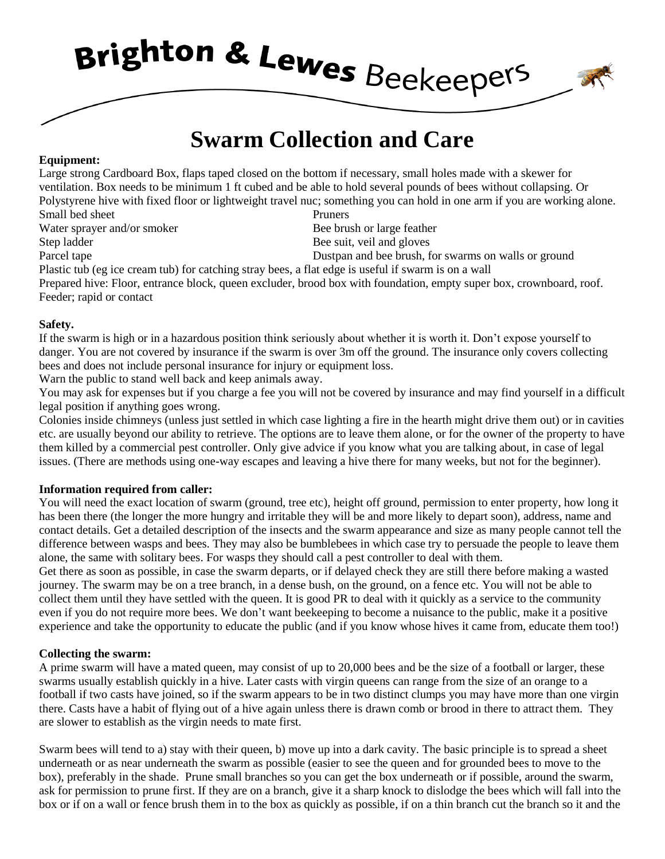Brighton & Lewes Beekeepers

# **Swarm Collection and Care**

### **Equipment:**

Large strong Cardboard Box, flaps taped closed on the bottom if necessary, small holes made with a skewer for ventilation. Box needs to be minimum 1 ft cubed and be able to hold several pounds of bees without collapsing. Or Polystyrene hive with fixed floor or lightweight travel nuc; something you can hold in one arm if you are working alone. Small bed sheet Pruners Water sprayer and/or smoker Bee brush or large feather Step ladder Bee suit, veil and gloves Parcel tape **Dustpan and bee brush**, for swarms on walls or ground Plastic tub (eg ice cream tub) for catching stray bees, a flat edge is useful if swarm is on a wall

Prepared hive: Floor, entrance block, queen excluder, brood box with foundation, empty super box, crownboard, roof. Feeder; rapid or contact

#### **Safety.**

If the swarm is high or in a hazardous position think seriously about whether it is worth it. Don't expose yourself to danger. You are not covered by insurance if the swarm is over 3m off the ground. The insurance only covers collecting bees and does not include personal insurance for injury or equipment loss.

Warn the public to stand well back and keep animals away.

You may ask for expenses but if you charge a fee you will not be covered by insurance and may find yourself in a difficult legal position if anything goes wrong.

Colonies inside chimneys (unless just settled in which case lighting a fire in the hearth might drive them out) or in cavities etc. are usually beyond our ability to retrieve. The options are to leave them alone, or for the owner of the property to have them killed by a commercial pest controller. Only give advice if you know what you are talking about, in case of legal issues. (There are methods using one-way escapes and leaving a hive there for many weeks, but not for the beginner).

## **Information required from caller:**

You will need the exact location of swarm (ground, tree etc), height off ground, permission to enter property, how long it has been there (the longer the more hungry and irritable they will be and more likely to depart soon), address, name and contact details. Get a detailed description of the insects and the swarm appearance and size as many people cannot tell the difference between wasps and bees. They may also be bumblebees in which case try to persuade the people to leave them alone, the same with solitary bees. For wasps they should call a pest controller to deal with them.

Get there as soon as possible, in case the swarm departs, or if delayed check they are still there before making a wasted journey. The swarm may be on a tree branch, in a dense bush, on the ground, on a fence etc. You will not be able to collect them until they have settled with the queen. It is good PR to deal with it quickly as a service to the community even if you do not require more bees. We don't want beekeeping to become a nuisance to the public, make it a positive experience and take the opportunity to educate the public (and if you know whose hives it came from, educate them too!)

#### **Collecting the swarm:**

A prime swarm will have a mated queen, may consist of up to 20,000 bees and be the size of a football or larger, these swarms usually establish quickly in a hive. Later casts with virgin queens can range from the size of an orange to a football if two casts have joined, so if the swarm appears to be in two distinct clumps you may have more than one virgin there. Casts have a habit of flying out of a hive again unless there is drawn comb or brood in there to attract them. They are slower to establish as the virgin needs to mate first.

Swarm bees will tend to a) stay with their queen, b) move up into a dark cavity. The basic principle is to spread a sheet underneath or as near underneath the swarm as possible (easier to see the queen and for grounded bees to move to the box), preferably in the shade. Prune small branches so you can get the box underneath or if possible, around the swarm, ask for permission to prune first. If they are on a branch, give it a sharp knock to dislodge the bees which will fall into the box or if on a wall or fence brush them in to the box as quickly as possible, if on a thin branch cut the branch so it and the